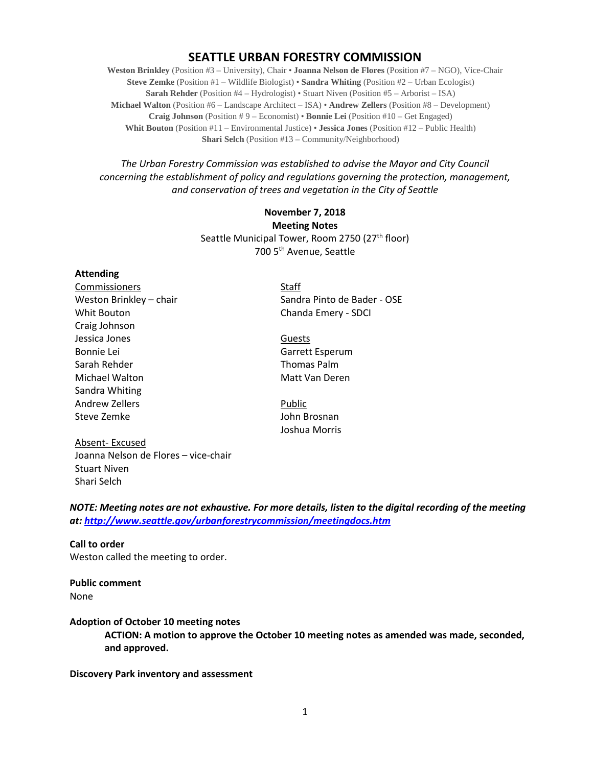# **SEATTLE URBAN FORESTRY COMMISSION**

**Weston Brinkley** (Position #3 – University), Chair • **Joanna Nelson de Flores** (Position #7 – NGO), Vice-Chair **Steve Zemke** (Position #1 – Wildlife Biologist) • **Sandra Whiting** (Position #2 – Urban Ecologist) **Sarah Rehder** (Position #4 – Hydrologist) • Stuart Niven (Position #5 – Arborist – ISA) **Michael Walton** (Position #6 – Landscape Architect – ISA) • **Andrew Zellers** (Position #8 – Development) **Craig Johnson** (Position # 9 – Economist) • **Bonnie Lei** (Position #10 – Get Engaged) **Whit Bouton** (Position #11 – Environmental Justice) • **Jessica Jones** (Position #12 – Public Health) **Shari Selch** (Position #13 – Community/Neighborhood)

*The Urban Forestry Commission was established to advise the Mayor and City Council concerning the establishment of policy and regulations governing the protection, management, and conservation of trees and vegetation in the City of Seattle*

> **November 7, 2018 Meeting Notes** Seattle Municipal Tower, Room 2750 (27<sup>th</sup> floor) 700 5th Avenue, Seattle

#### **Attending**

**Commissioners** Staff Whit Bouton **Chanda Emery - SDCI** Craig Johnson Jessica Jones Guests Bonnie Lei Garrett Esperum Sarah Rehder Thomas Palm Michael Walton Michael Walton Matt Van Deren Sandra Whiting Andrew Zellers **Public** Steve Zemke **John Brosnan** 

Weston Brinkley – chair Sandra Pinto de Bader - OSE

Joshua Morris

Absent- Excused Joanna Nelson de Flores – vice-chair Stuart Niven Shari Selch

*NOTE: Meeting notes are not exhaustive. For more details, listen to the digital recording of the meeting at:<http://www.seattle.gov/urbanforestrycommission/meetingdocs.htm>*

## **Call to order**  Weston called the meeting to order.

**Public comment** None

#### **Adoption of October 10 meeting notes**

**ACTION: A motion to approve the October 10 meeting notes as amended was made, seconded, and approved.**

#### **Discovery Park inventory and assessment**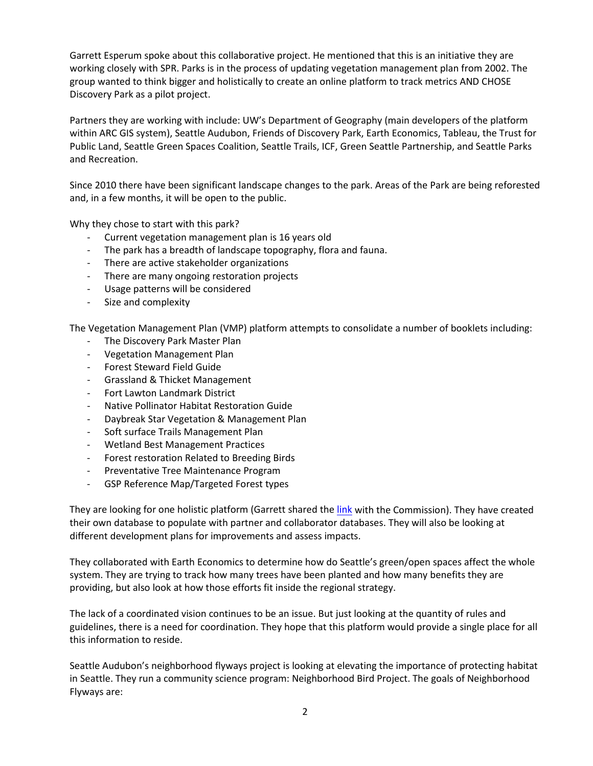Garrett Esperum spoke about this collaborative project. He mentioned that this is an initiative they are working closely with SPR. Parks is in the process of updating vegetation management plan from 2002. The group wanted to think bigger and holistically to create an online platform to track metrics AND CHOSE Discovery Park as a pilot project.

Partners they are working with include: UW's Department of Geography (main developers of the platform within ARC GIS system), Seattle Audubon, Friends of Discovery Park, Earth Economics, Tableau, the Trust for Public Land, Seattle Green Spaces Coalition, Seattle Trails, ICF, Green Seattle Partnership, and Seattle Parks and Recreation.

Since 2010 there have been significant landscape changes to the park. Areas of the Park are being reforested and, in a few months, it will be open to the public.

Why they chose to start with this park?

- Current vegetation management plan is 16 years old
- The park has a breadth of landscape topography, flora and fauna.
- There are active stakeholder organizations
- There are many ongoing restoration projects
- Usage patterns will be considered
- Size and complexity

The Vegetation Management Plan (VMP) platform attempts to consolidate a number of booklets including:

- The Discovery Park Master Plan
- Vegetation Management Plan
- Forest Steward Field Guide
- Grassland & Thicket Management
- Fort Lawton Landmark District
- Native Pollinator Habitat Restoration Guide
- Daybreak Star Vegetation & Management Plan
- Soft surface Trails Management Plan
- Wetland Best Management Practices
- Forest restoration Related to Breeding Birds
- Preventative Tree Maintenance Program
- GSP Reference Map/Targeted Forest types

They are looking for one holistic platform (Garrett shared the [link](https://arcg.is/090zHv) with the Commission). They have created their own database to populate with partner and collaborator databases. They will also be looking at different development plans for improvements and assess impacts.

They collaborated with Earth Economics to determine how do Seattle's green/open spaces affect the whole system. They are trying to track how many trees have been planted and how many benefits they are providing, but also look at how those efforts fit inside the regional strategy.

The lack of a coordinated vision continues to be an issue. But just looking at the quantity of rules and guidelines, there is a need for coordination. They hope that this platform would provide a single place for all this information to reside.

Seattle Audubon's neighborhood flyways project is looking at elevating the importance of protecting habitat in Seattle. They run a community science program: Neighborhood Bird Project. The goals of Neighborhood Flyways are: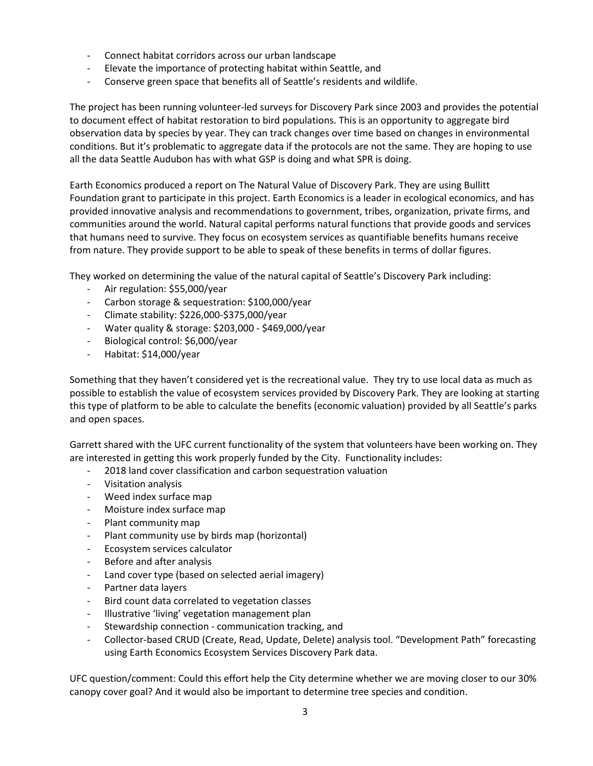- Connect habitat corridors across our urban landscape
- Elevate the importance of protecting habitat within Seattle, and
- Conserve green space that benefits all of Seattle's residents and wildlife.

The project has been running volunteer-led surveys for Discovery Park since 2003 and provides the potential to document effect of habitat restoration to bird populations. This is an opportunity to aggregate bird observation data by species by year. They can track changes over time based on changes in environmental conditions. But it's problematic to aggregate data if the protocols are not the same. They are hoping to use all the data Seattle Audubon has with what GSP is doing and what SPR is doing.

Earth Economics produced a report on The Natural Value of Discovery Park. They are using Bullitt Foundation grant to participate in this project. Earth Economics is a leader in ecological economics, and has provided innovative analysis and recommendations to government, tribes, organization, private firms, and communities around the world. Natural capital performs natural functions that provide goods and services that humans need to survive. They focus on ecosystem services as quantifiable benefits humans receive from nature. They provide support to be able to speak of these benefits in terms of dollar figures.

They worked on determining the value of the natural capital of Seattle's Discovery Park including:

- Air regulation: \$55,000/year
- Carbon storage & sequestration: \$100,000/year
- Climate stability: \$226,000-\$375,000/year
- Water quality & storage: \$203,000 \$469,000/year
- Biological control: \$6,000/year
- Habitat: \$14,000/year

Something that they haven't considered yet is the recreational value. They try to use local data as much as possible to establish the value of ecosystem services provided by Discovery Park. They are looking at starting this type of platform to be able to calculate the benefits (economic valuation) provided by all Seattle's parks and open spaces.

Garrett shared with the UFC current functionality of the system that volunteers have been working on. They are interested in getting this work properly funded by the City. Functionality includes:

- 2018 land cover classification and carbon sequestration valuation
- Visitation analysis
- Weed index surface map
- Moisture index surface map
- Plant community map
- Plant community use by birds map (horizontal)
- Ecosystem services calculator
- Before and after analysis
- Land cover type (based on selected aerial imagery)
- Partner data layers
- Bird count data correlated to vegetation classes
- Illustrative 'living' vegetation management plan
- Stewardship connection communication tracking, and
- Collector-based CRUD (Create, Read, Update, Delete) analysis tool. "Development Path" forecasting using Earth Economics Ecosystem Services Discovery Park data.

UFC question/comment: Could this effort help the City determine whether we are moving closer to our 30% canopy cover goal? And it would also be important to determine tree species and condition.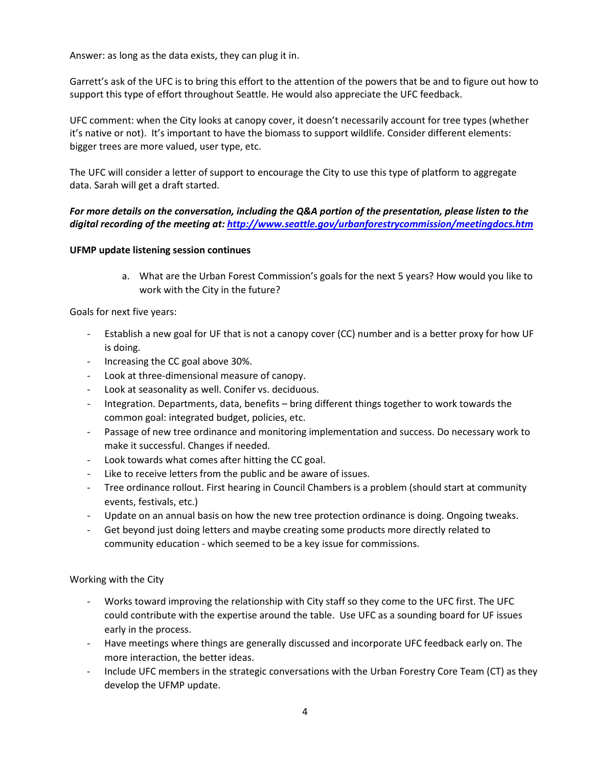Answer: as long as the data exists, they can plug it in.

Garrett's ask of the UFC is to bring this effort to the attention of the powers that be and to figure out how to support this type of effort throughout Seattle. He would also appreciate the UFC feedback.

UFC comment: when the City looks at canopy cover, it doesn't necessarily account for tree types (whether it's native or not). It's important to have the biomass to support wildlife. Consider different elements: bigger trees are more valued, user type, etc.

The UFC will consider a letter of support to encourage the City to use this type of platform to aggregate data. Sarah will get a draft started.

## *For more details on the conversation, including the Q&A portion of the presentation, please listen to the digital recording of the meeting at[: http://www.seattle.gov/urbanforestrycommission/meetingdocs.htm](http://www.seattle.gov/urbanforestrycommission/meetingdocs.htm)*

## **UFMP update listening session continues**

a. What are the Urban Forest Commission's goals for the next 5 years? How would you like to work with the City in the future?

Goals for next five years:

- Establish a new goal for UF that is not a canopy cover (CC) number and is a better proxy for how UF is doing.
- Increasing the CC goal above 30%.
- Look at three-dimensional measure of canopy.
- Look at seasonality as well. Conifer vs. deciduous.
- Integration. Departments, data, benefits bring different things together to work towards the common goal: integrated budget, policies, etc.
- Passage of new tree ordinance and monitoring implementation and success. Do necessary work to make it successful. Changes if needed.
- Look towards what comes after hitting the CC goal.
- Like to receive letters from the public and be aware of issues.
- Tree ordinance rollout. First hearing in Council Chambers is a problem (should start at community events, festivals, etc.)
- Update on an annual basis on how the new tree protection ordinance is doing. Ongoing tweaks.
- Get beyond just doing letters and maybe creating some products more directly related to community education - which seemed to be a key issue for commissions.

Working with the City

- Works toward improving the relationship with City staff so they come to the UFC first. The UFC could contribute with the expertise around the table. Use UFC as a sounding board for UF issues early in the process.
- Have meetings where things are generally discussed and incorporate UFC feedback early on. The more interaction, the better ideas.
- Include UFC members in the strategic conversations with the Urban Forestry Core Team (CT) as they develop the UFMP update.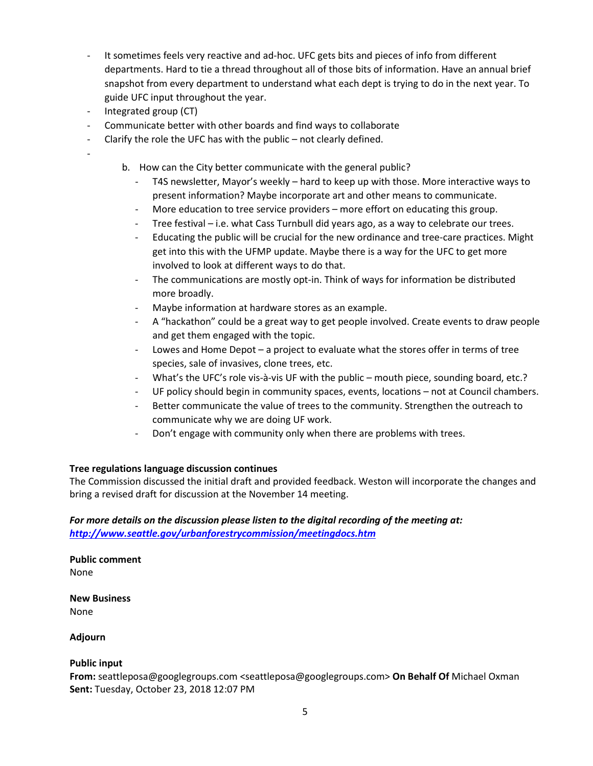- It sometimes feels very reactive and ad-hoc. UFC gets bits and pieces of info from different departments. Hard to tie a thread throughout all of those bits of information. Have an annual brief snapshot from every department to understand what each dept is trying to do in the next year. To guide UFC input throughout the year.
- Integrated group (CT)

-

- Communicate better with other boards and find ways to collaborate
- Clarify the role the UFC has with the public not clearly defined.
	- b. How can the City better communicate with the general public?
		- T4S newsletter, Mayor's weekly hard to keep up with those. More interactive ways to present information? Maybe incorporate art and other means to communicate.
		- More education to tree service providers more effort on educating this group.
		- Tree festival i.e. what Cass Turnbull did years ago, as a way to celebrate our trees.
		- Educating the public will be crucial for the new ordinance and tree-care practices. Might get into this with the UFMP update. Maybe there is a way for the UFC to get more involved to look at different ways to do that.
		- The communications are mostly opt-in. Think of ways for information be distributed more broadly.
		- Maybe information at hardware stores as an example.
		- A "hackathon" could be a great way to get people involved. Create events to draw people and get them engaged with the topic.
		- Lowes and Home Depot a project to evaluate what the stores offer in terms of tree species, sale of invasives, clone trees, etc.
		- What's the UFC's role vis-à-vis UF with the public mouth piece, sounding board, etc.?
		- UF policy should begin in community spaces, events, locations not at Council chambers.
		- Better communicate the value of trees to the community. Strengthen the outreach to communicate why we are doing UF work.
		- Don't engage with community only when there are problems with trees.

### **Tree regulations language discussion continues**

The Commission discussed the initial draft and provided feedback. Weston will incorporate the changes and bring a revised draft for discussion at the November 14 meeting.

## *For more details on the discussion please listen to the digital recording of the meeting at: <http://www.seattle.gov/urbanforestrycommission/meetingdocs.htm>*

**Public comment** None

**New Business** None

**Adjourn**

### **Public input**

**From:** seattleposa@googlegroups.com <seattleposa@googlegroups.com> **On Behalf Of** Michael Oxman **Sent:** Tuesday, October 23, 2018 12:07 PM